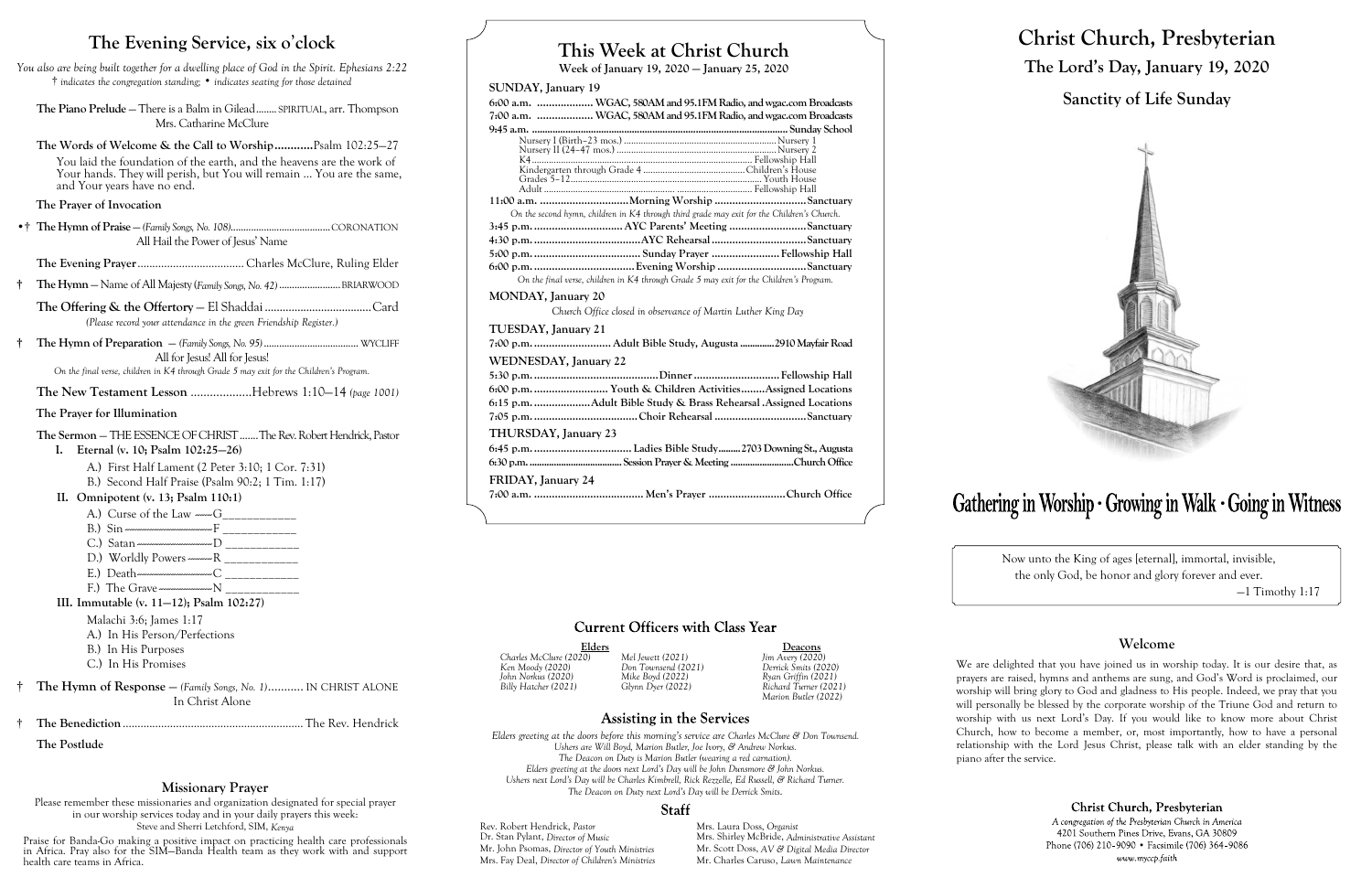# **This Week at Christ Church**

**Week of January 19, 2020 — January 25, 2020**

# **SUNDAY, January 19**

**6:00 a.m. ................... WGAC, 580AM and 95.1FM Radio, and wgac.com Broadcasts 7:00 a.m. ................... WGAC, 580AM and 95.1FM Radio, and wgac.com Broadcasts 9:45 a.m. .................................................................................................... Sunday School**

| On the second hymn, children in K4 through third grade may exit for the Children's Church. |  |  |  |  |
|--------------------------------------------------------------------------------------------|--|--|--|--|
|                                                                                            |  |  |  |  |
|                                                                                            |  |  |  |  |
|                                                                                            |  |  |  |  |
|                                                                                            |  |  |  |  |
|                                                                                            |  |  |  |  |

Elders **Deacons**<br>
20) Mel lewett (2021)  $\lim_{x \to 0} \frac{\text{Deacons}}{\text{Im} \cdot \text{Re}(2020)}$ *Charles McClure (2020) Mel Jewett (2021) Jim Avery (2020) John Norkus (2020) Mike Boyd (2022) Ryan Griffin (2021) Billy Hatcher (2021) Glynn Dyer (2022) Richard Turner (2021) Marion Butler (2022)*

# **Assisting in the Services**

*On the final verse, children in K4 through Grade 5 may exit for the Children's Program.*

# **MONDAY, January 20**

*Church Office closed in observance of Martin Luther King Day*

# **TUESDAY, January 21**

**7:00 p.m........................... Adult Bible Study, Augusta ..............2910 Mayfair Road**

Rev. Robert Hendrick, *Pastor* Mrs. Laura Doss, *Organist*<br>
Dr. Stan Pylant, *Director of Music* Mrs. Shirley McBride, *Adm* Mrs. Fay Deal, *Director of Children's Ministries* Mr. Charles Caruso, *Lawn Maintenance*

# **WEDNESDAY, January 22**

**5:30 p.m...........................................Dinner.............................Fellowship Hall 6:00 p.m.......................... Youth & Children Activities........Assigned Locations 6:15 p.m....................Adult Bible Study & Brass Rehearsal .Assigned Locations 7:05 p.m....................................Choir Rehearsal ...............................Sanctuary**

#### **THURSDAY, January 23**

**6:45 p.m.................................. Ladies Bible Study.........2703 Downing St., Augusta 6:30 p.m.......................................Session Prayer & Meeting ..........................Church Office**

# **FRIDAY, January 24**

**7:00 a.m. ..................................... Men's Prayer ..........................Church Office**

# **Current Officers with Class Year**

*Ken Moody (2020) Don Townsend (2021) Derrick Smits (2020)*

*Elders greeting at the doors before this morning's service are Charles McClure & Don Townsend. Ushers are Will Boyd, Marion Butler, Joe Ivory, & Andrew Norkus. The Deacon on Duty is Marion Butler (wearing a red carnation). Elders greeting at the doors next Lord's Day will be John Dunsmore & John Norkus. Ushers next Lord's Day will be Charles Kimbrell, Rick Rezzelle, Ed Russell, & Richard Turner. The Deacon on Duty next Lord's Day will be Derrick Smits.*

# **Staff**

Dr. Stan Pylant, *Director of Music* Mrs. Shirley McBride, *Administrative Assistant* Mr. John Psomas, *Director of Youth Ministries* Mr. Scott Doss, *AV & Digital Media Director*

# Gathering in Worship · Growing in Walk · Going in Witness

|  | N |
|--|---|
|  |   |
|  |   |

# **Christ Church, Presbyterian The Lord's Day, January 19, 2020 Sanctity of Life Sunday**



Now unto the King of ages [eternal], immortal, invisible, the only God, be honor and glory forever and ever.

—1 Timothy 1:17

# **Welcome**

# Christ Church, Presbyterian

A congregation of the Presbyterian Church in America 4201 Southern Pines Drive, Evans, GA 30809 Phone (706) 210-9090 • Facsimile (706) 364-9086 www.myccp.faith

We are delighted that you have joined us in worship today. It is our desire that, as prayers are raised, hymns and anthems are sung, and God's Word is proclaimed, our worship will bring glory to God and gladness to His people. Indeed, we pray that you will personally be blessed by the corporate worship of the Triune God and return to worship with us next Lord's Day. If you would like to know more about Christ Church, how to become a member, or, most importantly, how to have a personal relationship with the Lord Jesus Christ, please talk with an elder standing by the piano after the service.

# **The Evening Service, six o**'**clock**

*You also are being built together for a dwelling place of God in the Spirit. Ephesians 2:22* † *indicates the congregation standing;* • *indicates seating for those detained*

**The Piano Prelude** — There is a Balm in Gilead........ SPIRITUAL, arr. Thompson Mrs. Catharine McClure

**The Words of Welcome & the Call to Worship............**Psalm 102:25—27 You laid the foundation of the earth, and the heavens are the work of Your hands. They will perish, but You will remain ... You are the same, and Your years have no end.

# **The Prayer of Invocation**

•† **The Hymn of Praise** — *(Family Songs, No. 108)*.......................................CORONATION All Hail the Power of Jesus' Name

**The Evening Prayer**.................................... Charles McClure, Ruling Elder

**† The Hymn** — Name of All Majesty (*Family Songs, No. 42)* ........................BRIARWOOD

**The Offering & the Offertory** — El Shaddai....................................Card *(Please record your attendance in the green Friendship Register.)*

**† The Hymn of Preparation** — *(Family Songs, No. 95)*..................................... WYCLIFF All for Jesus! All for Jesus!

*On the final verse, children in K4 through Grade 5 may exit for the Children's Program.*

**The New Testament Lesson** ...................Hebrews 1:10—14 *(page 1001)*

# **The Prayer for Illumination**

**The Sermon** — THE ESSENCE OF CHRIST.......The Rev. Robert Hendrick, Pastor

- **I. Eternal (v. 10; Psalm 102:25—26)**
	- A.) First Half Lament (2 Peter 3:10; 1 Cor. 7:31)
	- B.) Second Half Praise (Psalm 90:2; 1 Tim. 1:17)

# **II. Omnipotent (v. 13; Psalm 110:1)**

- A.) Curse of the Law  $-\infty$
- B.) Sin  $\frac{1}{2}$  =  $\frac{1}{2}$  =  $\frac{1}{2}$  =  $\frac{1}{2}$  =  $\frac{1}{2}$  =  $\frac{1}{2}$  =  $\frac{1}{2}$  =  $\frac{1}{2}$  =  $\frac{1}{2}$  =  $\frac{1}{2}$  =  $\frac{1}{2}$  =  $\frac{1}{2}$  =  $\frac{1}{2}$  =  $\frac{1}{2}$  =  $\frac{1}{2}$  =  $\frac{1}{2}$  =  $\frac{1}{2}$  =  $\frac{1}{2}$
- C.) Satan -------------------------------D \_\_\_\_\_\_\_\_\_\_\_\_
- D.) Worldly Powers ---------R
- E.) Death-------------------------------C \_\_\_\_\_\_\_\_\_\_\_\_
- $F<sub>1</sub>$ ) The Grave --------------------- $N$

# **III. Immutable (v. 11—12); Psalm 102:27)**

Malachi 3:6; James 1:17

A.) In His Person/Perfections

B.) In His Purposes

C.) In His Promises

† **The Hymn of Response** — *(Family Songs, No. 1)*........... IN CHRIST ALONE In Christ Alone

† **The Benediction**............................................................. The Rev. Hendrick

**The Postlude**

# **Missionary Prayer**

Please remember these missionaries and organization designated for special prayer in our worship services today and in your daily prayers this week: Steve and Sherri Letchford, SIM, *Kenya*

Praise for Banda-Go making a positive impact on practicing health care professionals in Africa. Pray also for the SIM—Banda Health team as they work with and support health care teams in Africa.